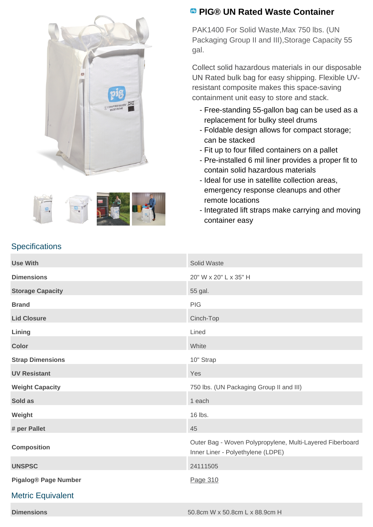



## **PIG® UN Rated Waste Container**

PAK1400 For Solid Waste,Max 750 lbs. (UN Packaging Group II and III), Storage Capacity 55 gal.

Collect solid hazardous materials in our disposable UN Rated bulk bag for easy shipping. Flexible UVresistant composite makes this space-saving containment unit easy to store and stack.

- Free-standing 55-gallon bag can be used as a replacement for bulky steel drums
- Foldable design allows for compact storage; can be stacked
- Fit up to four filled containers on a pallet
- Pre-installed 6 mil liner provides a proper fit to contain solid hazardous materials
- Ideal for use in satellite collection areas, emergency response cleanups and other remote locations
- Integrated lift straps make carrying and moving container easy

| <b>Use With</b>             | Solid Waste                                                                                    |
|-----------------------------|------------------------------------------------------------------------------------------------|
| <b>Dimensions</b>           | 20" W x 20" L x 35" H                                                                          |
| <b>Storage Capacity</b>     | 55 gal.                                                                                        |
| <b>Brand</b>                | PIG                                                                                            |
| <b>Lid Closure</b>          | Cinch-Top                                                                                      |
| Lining                      | Lined                                                                                          |
| <b>Color</b>                | White                                                                                          |
| <b>Strap Dimensions</b>     | 10" Strap                                                                                      |
| <b>UV Resistant</b>         | Yes                                                                                            |
| <b>Weight Capacity</b>      | 750 lbs. (UN Packaging Group II and III)                                                       |
| Sold as                     | 1 each                                                                                         |
| Weight                      | 16 lbs.                                                                                        |
| # per Pallet                | 45                                                                                             |
| <b>Composition</b>          | Outer Bag - Woven Polypropylene, Multi-Layered Fiberboard<br>Inner Liner - Polyethylene (LDPE) |
| <b>UNSPSC</b>               | 24111505                                                                                       |
| <b>Pigalog® Page Number</b> | Page 310                                                                                       |
| <b>Metric Equivalent</b>    |                                                                                                |

**Specifications**